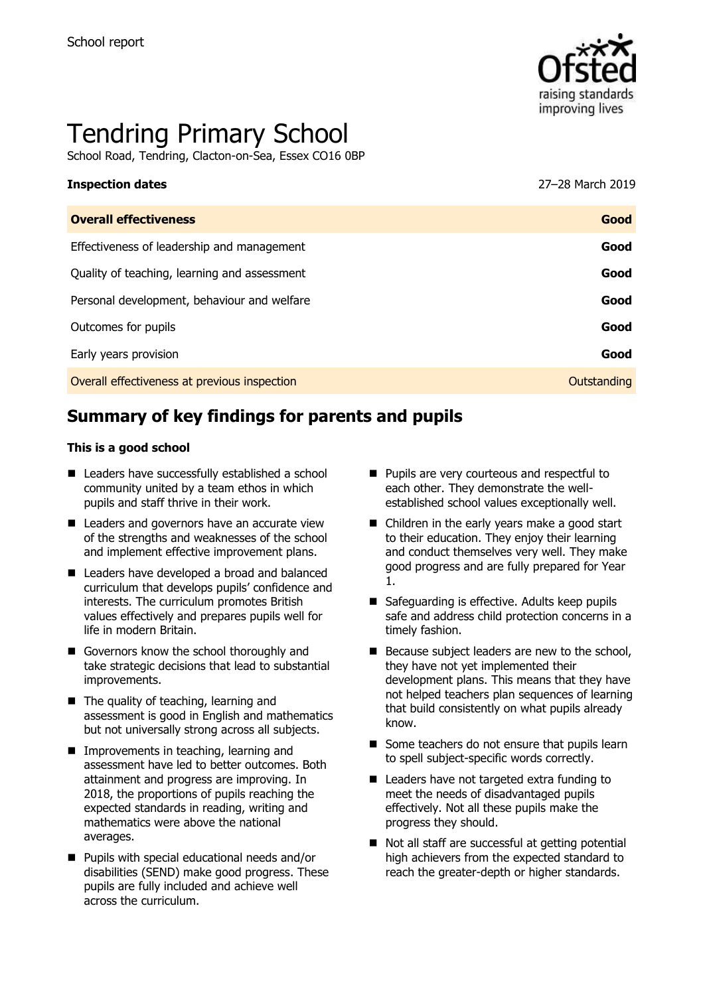

# Tendring Primary School

School Road, Tendring, Clacton-on-Sea, Essex CO16 0BP

## **Inspection dates** 27–28 March 2019

| <b>Overall effectiveness</b>                 | Good        |
|----------------------------------------------|-------------|
| Effectiveness of leadership and management   | Good        |
| Quality of teaching, learning and assessment | Good        |
| Personal development, behaviour and welfare  | Good        |
| Outcomes for pupils                          | Good        |
| Early years provision                        | Good        |
| Overall effectiveness at previous inspection | Outstanding |

### **Summary of key findings for parents and pupils**

#### **This is a good school**

- Leaders have successfully established a school community united by a team ethos in which pupils and staff thrive in their work.
- Leaders and governors have an accurate view of the strengths and weaknesses of the school and implement effective improvement plans.
- Leaders have developed a broad and balanced curriculum that develops pupils' confidence and interests. The curriculum promotes British values effectively and prepares pupils well for life in modern Britain.
- Governors know the school thoroughly and take strategic decisions that lead to substantial improvements.
- The quality of teaching, learning and assessment is good in English and mathematics but not universally strong across all subjects.
- **Improvements in teaching, learning and** assessment have led to better outcomes. Both attainment and progress are improving. In 2018, the proportions of pupils reaching the expected standards in reading, writing and mathematics were above the national averages.
- Pupils with special educational needs and/or disabilities (SEND) make good progress. These pupils are fully included and achieve well across the curriculum.
- **Pupils are very courteous and respectful to** each other. They demonstrate the wellestablished school values exceptionally well.
- Children in the early years make a good start to their education. They enjoy their learning and conduct themselves very well. They make good progress and are fully prepared for Year 1.
- Safeguarding is effective. Adults keep pupils safe and address child protection concerns in a timely fashion.
- Because subject leaders are new to the school, they have not yet implemented their development plans. This means that they have not helped teachers plan sequences of learning that build consistently on what pupils already know.
- Some teachers do not ensure that pupils learn to spell subject-specific words correctly.
- Leaders have not targeted extra funding to meet the needs of disadvantaged pupils effectively. Not all these pupils make the progress they should.
- Not all staff are successful at getting potential high achievers from the expected standard to reach the greater-depth or higher standards.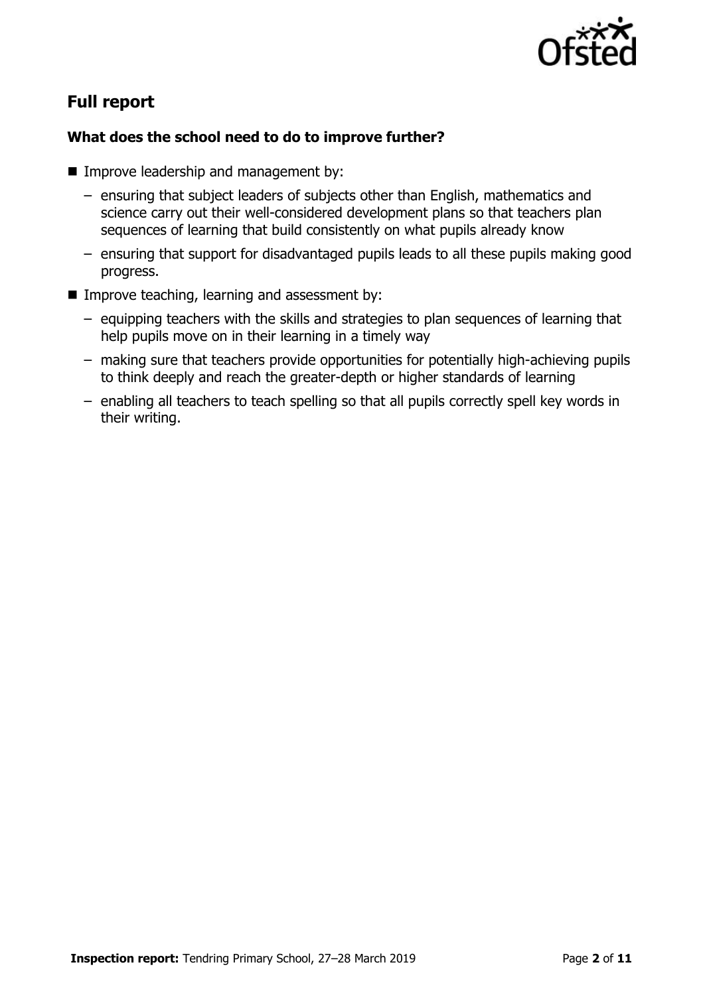

### **Full report**

### **What does the school need to do to improve further?**

- **IMPROVE leadership and management by:** 
	- ensuring that subject leaders of subjects other than English, mathematics and science carry out their well-considered development plans so that teachers plan sequences of learning that build consistently on what pupils already know
	- ensuring that support for disadvantaged pupils leads to all these pupils making good progress.
- Improve teaching, learning and assessment by:
	- equipping teachers with the skills and strategies to plan sequences of learning that help pupils move on in their learning in a timely way
	- making sure that teachers provide opportunities for potentially high-achieving pupils to think deeply and reach the greater-depth or higher standards of learning
	- enabling all teachers to teach spelling so that all pupils correctly spell key words in their writing.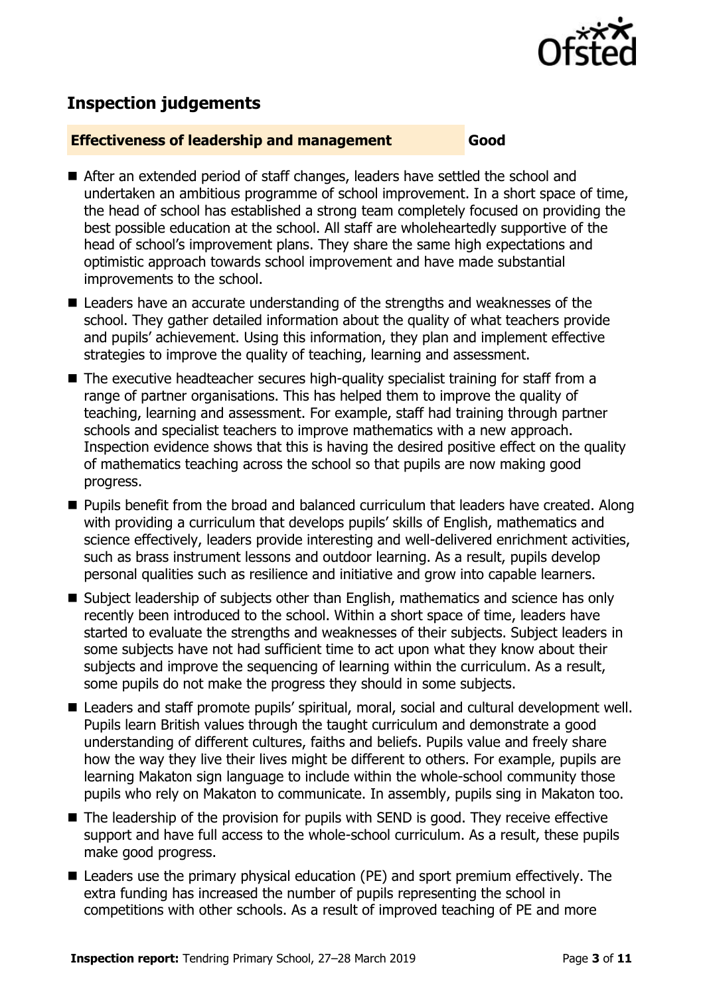

### **Inspection judgements**

#### **Effectiveness of leadership and management Good**

- After an extended period of staff changes, leaders have settled the school and undertaken an ambitious programme of school improvement. In a short space of time, the head of school has established a strong team completely focused on providing the best possible education at the school. All staff are wholeheartedly supportive of the head of school's improvement plans. They share the same high expectations and optimistic approach towards school improvement and have made substantial improvements to the school.
- Leaders have an accurate understanding of the strengths and weaknesses of the school. They gather detailed information about the quality of what teachers provide and pupils' achievement. Using this information, they plan and implement effective strategies to improve the quality of teaching, learning and assessment.
- The executive headteacher secures high-quality specialist training for staff from a range of partner organisations. This has helped them to improve the quality of teaching, learning and assessment. For example, staff had training through partner schools and specialist teachers to improve mathematics with a new approach. Inspection evidence shows that this is having the desired positive effect on the quality of mathematics teaching across the school so that pupils are now making good progress.
- **Pupils benefit from the broad and balanced curriculum that leaders have created. Along** with providing a curriculum that develops pupils' skills of English, mathematics and science effectively, leaders provide interesting and well-delivered enrichment activities, such as brass instrument lessons and outdoor learning. As a result, pupils develop personal qualities such as resilience and initiative and grow into capable learners.
- Subject leadership of subjects other than English, mathematics and science has only recently been introduced to the school. Within a short space of time, leaders have started to evaluate the strengths and weaknesses of their subjects. Subject leaders in some subjects have not had sufficient time to act upon what they know about their subjects and improve the sequencing of learning within the curriculum. As a result, some pupils do not make the progress they should in some subjects.
- Leaders and staff promote pupils' spiritual, moral, social and cultural development well. Pupils learn British values through the taught curriculum and demonstrate a good understanding of different cultures, faiths and beliefs. Pupils value and freely share how the way they live their lives might be different to others. For example, pupils are learning Makaton sign language to include within the whole-school community those pupils who rely on Makaton to communicate. In assembly, pupils sing in Makaton too.
- The leadership of the provision for pupils with SEND is good. They receive effective support and have full access to the whole-school curriculum. As a result, these pupils make good progress.
- Leaders use the primary physical education (PE) and sport premium effectively. The extra funding has increased the number of pupils representing the school in competitions with other schools. As a result of improved teaching of PE and more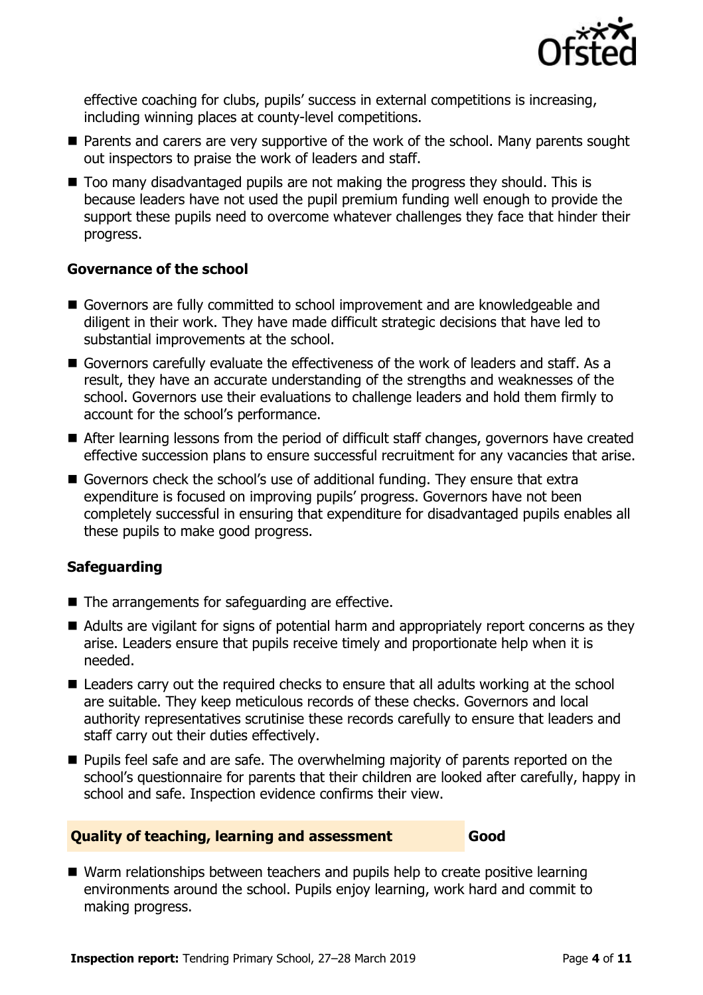

effective coaching for clubs, pupils' success in external competitions is increasing, including winning places at county-level competitions.

- **Parents and carers are very supportive of the work of the school. Many parents sought** out inspectors to praise the work of leaders and staff.
- Too many disadvantaged pupils are not making the progress they should. This is because leaders have not used the pupil premium funding well enough to provide the support these pupils need to overcome whatever challenges they face that hinder their progress.

#### **Governance of the school**

- Governors are fully committed to school improvement and are knowledgeable and diligent in their work. They have made difficult strategic decisions that have led to substantial improvements at the school.
- Governors carefully evaluate the effectiveness of the work of leaders and staff. As a result, they have an accurate understanding of the strengths and weaknesses of the school. Governors use their evaluations to challenge leaders and hold them firmly to account for the school's performance.
- After learning lessons from the period of difficult staff changes, governors have created effective succession plans to ensure successful recruitment for any vacancies that arise.
- Governors check the school's use of additional funding. They ensure that extra expenditure is focused on improving pupils' progress. Governors have not been completely successful in ensuring that expenditure for disadvantaged pupils enables all these pupils to make good progress.

#### **Safeguarding**

- The arrangements for safeguarding are effective.
- Adults are vigilant for signs of potential harm and appropriately report concerns as they arise. Leaders ensure that pupils receive timely and proportionate help when it is needed.
- Leaders carry out the required checks to ensure that all adults working at the school are suitable. They keep meticulous records of these checks. Governors and local authority representatives scrutinise these records carefully to ensure that leaders and staff carry out their duties effectively.
- **Pupils feel safe and are safe. The overwhelming majority of parents reported on the** school's questionnaire for parents that their children are looked after carefully, happy in school and safe. Inspection evidence confirms their view.

#### **Quality of teaching, learning and assessment Good**

■ Warm relationships between teachers and pupils help to create positive learning environments around the school. Pupils enjoy learning, work hard and commit to making progress.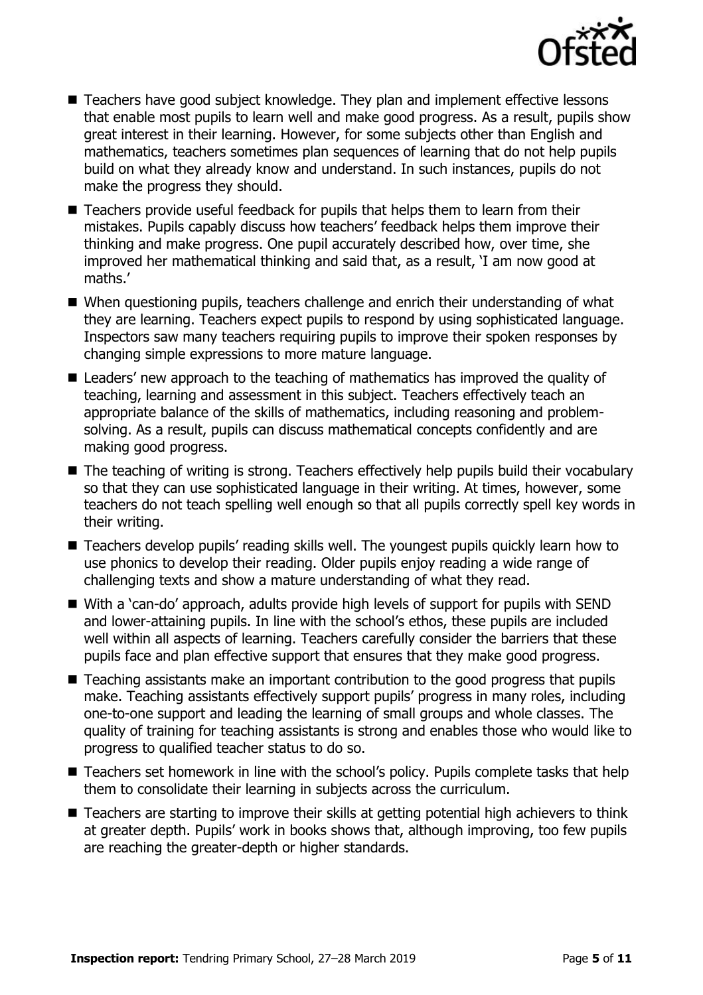

- Teachers have good subject knowledge. They plan and implement effective lessons that enable most pupils to learn well and make good progress. As a result, pupils show great interest in their learning. However, for some subjects other than English and mathematics, teachers sometimes plan sequences of learning that do not help pupils build on what they already know and understand. In such instances, pupils do not make the progress they should.
- Teachers provide useful feedback for pupils that helps them to learn from their mistakes. Pupils capably discuss how teachers' feedback helps them improve their thinking and make progress. One pupil accurately described how, over time, she improved her mathematical thinking and said that, as a result, 'I am now good at maths.'
- When questioning pupils, teachers challenge and enrich their understanding of what they are learning. Teachers expect pupils to respond by using sophisticated language. Inspectors saw many teachers requiring pupils to improve their spoken responses by changing simple expressions to more mature language.
- Leaders' new approach to the teaching of mathematics has improved the quality of teaching, learning and assessment in this subject. Teachers effectively teach an appropriate balance of the skills of mathematics, including reasoning and problemsolving. As a result, pupils can discuss mathematical concepts confidently and are making good progress.
- The teaching of writing is strong. Teachers effectively help pupils build their vocabulary so that they can use sophisticated language in their writing. At times, however, some teachers do not teach spelling well enough so that all pupils correctly spell key words in their writing.
- Teachers develop pupils' reading skills well. The youngest pupils quickly learn how to use phonics to develop their reading. Older pupils enjoy reading a wide range of challenging texts and show a mature understanding of what they read.
- With a 'can-do' approach, adults provide high levels of support for pupils with SEND and lower-attaining pupils. In line with the school's ethos, these pupils are included well within all aspects of learning. Teachers carefully consider the barriers that these pupils face and plan effective support that ensures that they make good progress.
- Teaching assistants make an important contribution to the good progress that pupils make. Teaching assistants effectively support pupils' progress in many roles, including one-to-one support and leading the learning of small groups and whole classes. The quality of training for teaching assistants is strong and enables those who would like to progress to qualified teacher status to do so.
- Teachers set homework in line with the school's policy. Pupils complete tasks that help them to consolidate their learning in subjects across the curriculum.
- Teachers are starting to improve their skills at getting potential high achievers to think at greater depth. Pupils' work in books shows that, although improving, too few pupils are reaching the greater-depth or higher standards.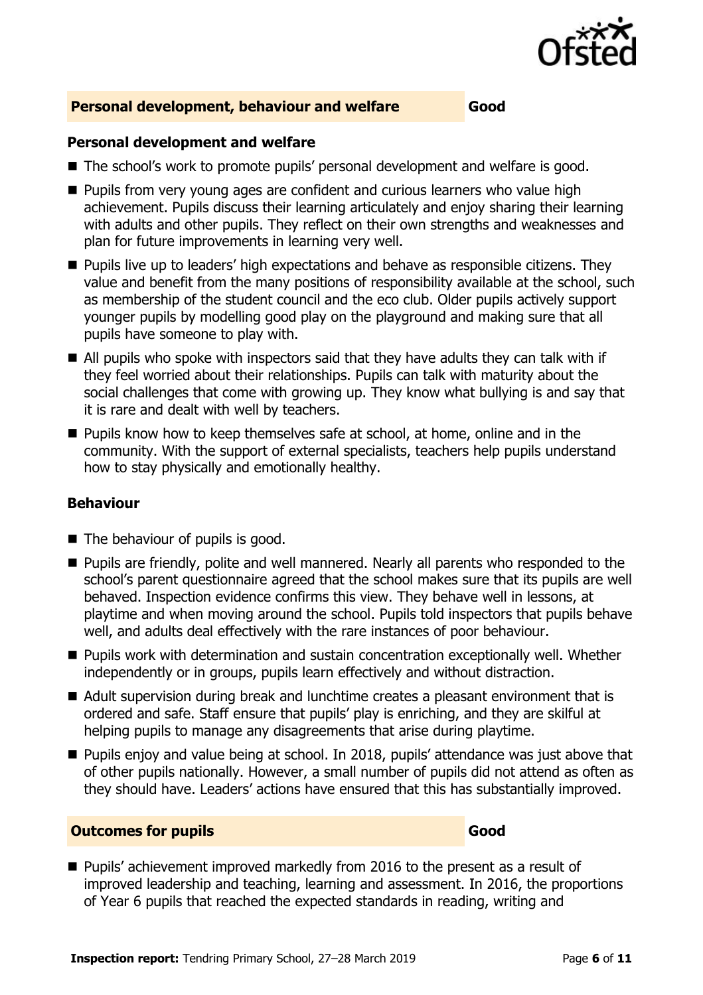

#### **Personal development, behaviour and welfare Good**

#### **Personal development and welfare**

- The school's work to promote pupils' personal development and welfare is good.
- **Pupils from very young ages are confident and curious learners who value high** achievement. Pupils discuss their learning articulately and enjoy sharing their learning with adults and other pupils. They reflect on their own strengths and weaknesses and plan for future improvements in learning very well.
- **Pupils live up to leaders' high expectations and behave as responsible citizens. They** value and benefit from the many positions of responsibility available at the school, such as membership of the student council and the eco club. Older pupils actively support younger pupils by modelling good play on the playground and making sure that all pupils have someone to play with.
- All pupils who spoke with inspectors said that they have adults they can talk with if they feel worried about their relationships. Pupils can talk with maturity about the social challenges that come with growing up. They know what bullying is and say that it is rare and dealt with well by teachers.
- **Pupils know how to keep themselves safe at school, at home, online and in the** community. With the support of external specialists, teachers help pupils understand how to stay physically and emotionally healthy.

#### **Behaviour**

- The behaviour of pupils is good.
- **Pupils are friendly, polite and well mannered. Nearly all parents who responded to the** school's parent questionnaire agreed that the school makes sure that its pupils are well behaved. Inspection evidence confirms this view. They behave well in lessons, at playtime and when moving around the school. Pupils told inspectors that pupils behave well, and adults deal effectively with the rare instances of poor behaviour.
- **Pupils work with determination and sustain concentration exceptionally well. Whether** independently or in groups, pupils learn effectively and without distraction.
- Adult supervision during break and lunchtime creates a pleasant environment that is ordered and safe. Staff ensure that pupils' play is enriching, and they are skilful at helping pupils to manage any disagreements that arise during playtime.
- **Pupils enjoy and value being at school. In 2018, pupils' attendance was just above that** of other pupils nationally. However, a small number of pupils did not attend as often as they should have. Leaders' actions have ensured that this has substantially improved.

#### **Outcomes for pupils Good**

**Pupils'** achievement improved markedly from 2016 to the present as a result of improved leadership and teaching, learning and assessment. In 2016, the proportions of Year 6 pupils that reached the expected standards in reading, writing and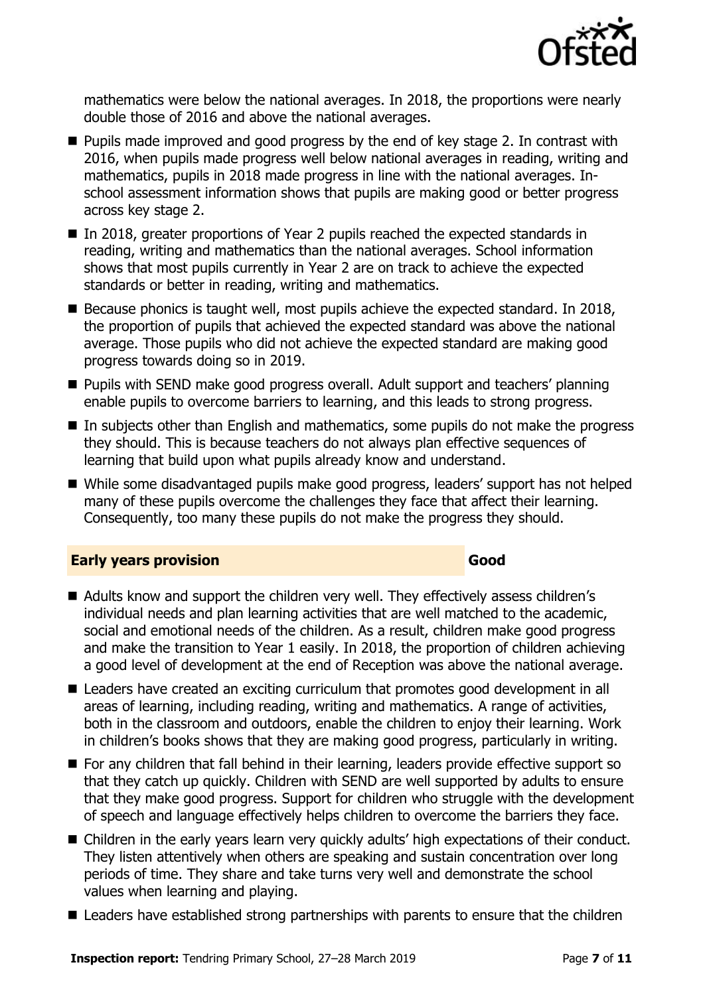

mathematics were below the national averages. In 2018, the proportions were nearly double those of 2016 and above the national averages.

- **Pupils made improved and good progress by the end of key stage 2. In contrast with** 2016, when pupils made progress well below national averages in reading, writing and mathematics, pupils in 2018 made progress in line with the national averages. Inschool assessment information shows that pupils are making good or better progress across key stage 2.
- In 2018, greater proportions of Year 2 pupils reached the expected standards in reading, writing and mathematics than the national averages. School information shows that most pupils currently in Year 2 are on track to achieve the expected standards or better in reading, writing and mathematics.
- Because phonics is taught well, most pupils achieve the expected standard. In 2018, the proportion of pupils that achieved the expected standard was above the national average. Those pupils who did not achieve the expected standard are making good progress towards doing so in 2019.
- **Pupils with SEND make good progress overall. Adult support and teachers' planning** enable pupils to overcome barriers to learning, and this leads to strong progress.
- In subjects other than English and mathematics, some pupils do not make the progress they should. This is because teachers do not always plan effective sequences of learning that build upon what pupils already know and understand.
- While some disadvantaged pupils make good progress, leaders' support has not helped many of these pupils overcome the challenges they face that affect their learning. Consequently, too many these pupils do not make the progress they should.

#### **Early years provision Good Good**

- Adults know and support the children very well. They effectively assess children's individual needs and plan learning activities that are well matched to the academic, social and emotional needs of the children. As a result, children make good progress and make the transition to Year 1 easily. In 2018, the proportion of children achieving a good level of development at the end of Reception was above the national average.
- Leaders have created an exciting curriculum that promotes good development in all areas of learning, including reading, writing and mathematics. A range of activities, both in the classroom and outdoors, enable the children to enjoy their learning. Work in children's books shows that they are making good progress, particularly in writing.
- For any children that fall behind in their learning, leaders provide effective support so that they catch up quickly. Children with SEND are well supported by adults to ensure that they make good progress. Support for children who struggle with the development of speech and language effectively helps children to overcome the barriers they face.
- Children in the early years learn very quickly adults' high expectations of their conduct. They listen attentively when others are speaking and sustain concentration over long periods of time. They share and take turns very well and demonstrate the school values when learning and playing.
- Leaders have established strong partnerships with parents to ensure that the children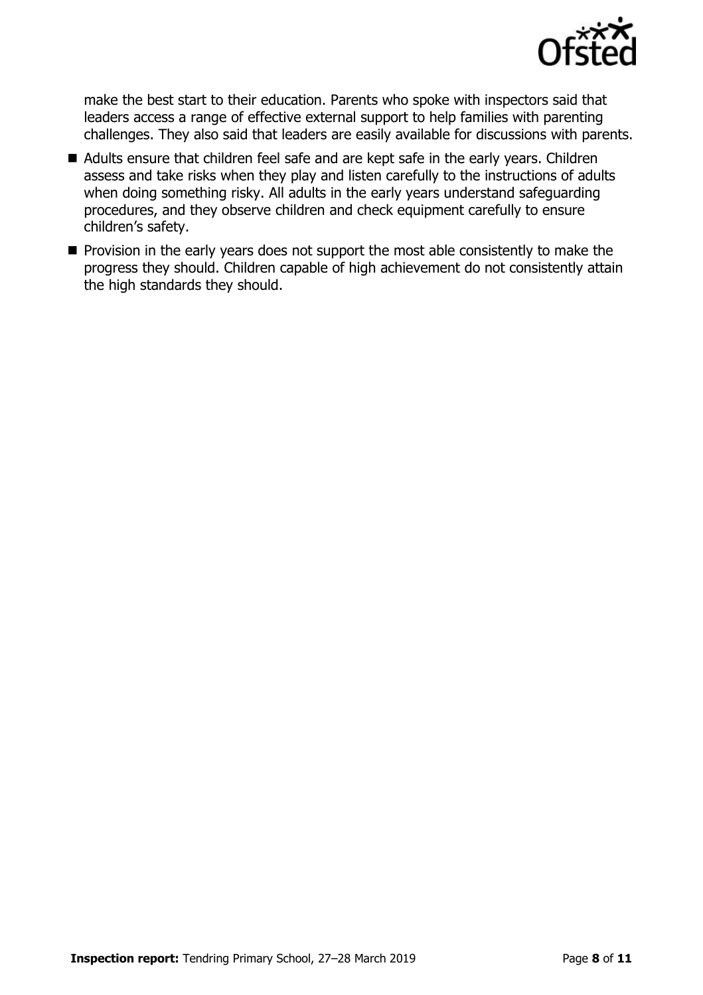

make the best start to their education. Parents who spoke with inspectors said that leaders access a range of effective external support to help families with parenting challenges. They also said that leaders are easily available for discussions with parents.

- Adults ensure that children feel safe and are kept safe in the early years. Children assess and take risks when they play and listen carefully to the instructions of adults when doing something risky. All adults in the early years understand safeguarding procedures, and they observe children and check equipment carefully to ensure children's safety.
- $\blacksquare$  Provision in the early years does not support the most able consistently to make the progress they should. Children capable of high achievement do not consistently attain the high standards they should.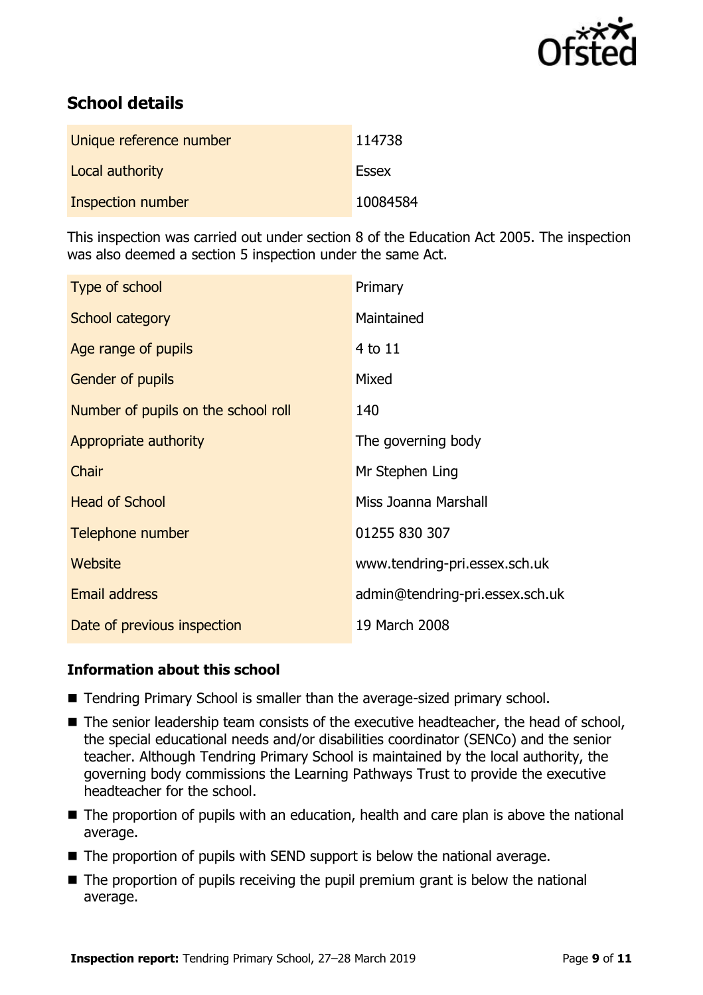

### **School details**

| Unique reference number  | 114738       |
|--------------------------|--------------|
| Local authority          | <b>Essex</b> |
| <b>Inspection number</b> | 10084584     |

This inspection was carried out under section 8 of the Education Act 2005. The inspection was also deemed a section 5 inspection under the same Act.

| Type of school                      | Primary                         |
|-------------------------------------|---------------------------------|
| School category                     | Maintained                      |
| Age range of pupils                 | 4 to 11                         |
| <b>Gender of pupils</b>             | Mixed                           |
| Number of pupils on the school roll | 140                             |
| Appropriate authority               | The governing body              |
| Chair                               | Mr Stephen Ling                 |
| <b>Head of School</b>               | Miss Joanna Marshall            |
| Telephone number                    | 01255 830 307                   |
| Website                             | www.tendring-pri.essex.sch.uk   |
| <b>Email address</b>                | admin@tendring-pri.essex.sch.uk |
| Date of previous inspection         | 19 March 2008                   |

#### **Information about this school**

- Tendring Primary School is smaller than the average-sized primary school.
- The senior leadership team consists of the executive headteacher, the head of school, the special educational needs and/or disabilities coordinator (SENCo) and the senior teacher. Although Tendring Primary School is maintained by the local authority, the governing body commissions the Learning Pathways Trust to provide the executive headteacher for the school.
- The proportion of pupils with an education, health and care plan is above the national average.
- The proportion of pupils with SEND support is below the national average.
- $\blacksquare$  The proportion of pupils receiving the pupil premium grant is below the national average.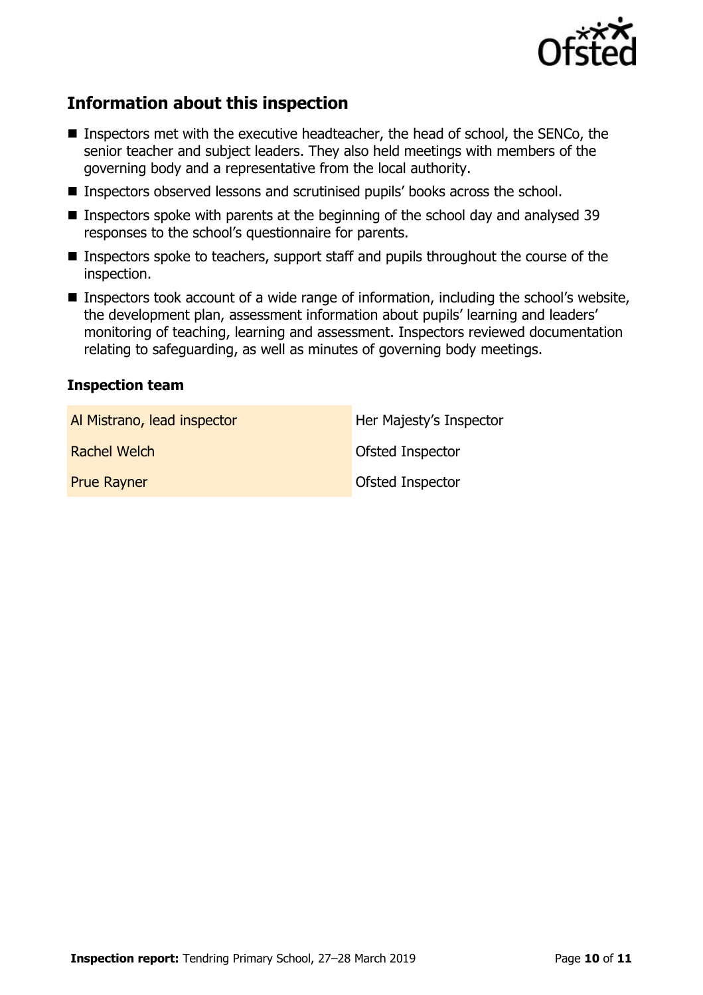

### **Information about this inspection**

- Inspectors met with the executive headteacher, the head of school, the SENCo, the senior teacher and subject leaders. They also held meetings with members of the governing body and a representative from the local authority.
- Inspectors observed lessons and scrutinised pupils' books across the school.
- **Inspectors spoke with parents at the beginning of the school day and analysed 39** responses to the school's questionnaire for parents.
- Inspectors spoke to teachers, support staff and pupils throughout the course of the inspection.
- Inspectors took account of a wide range of information, including the school's website, the development plan, assessment information about pupils' learning and leaders' monitoring of teaching, learning and assessment. Inspectors reviewed documentation relating to safeguarding, as well as minutes of governing body meetings.

#### **Inspection team**

| Al Mistrano, lead inspector | Her Majesty's Inspector |
|-----------------------------|-------------------------|
| Rachel Welch                | <b>Ofsted Inspector</b> |
| <b>Prue Rayner</b>          | Ofsted Inspector        |